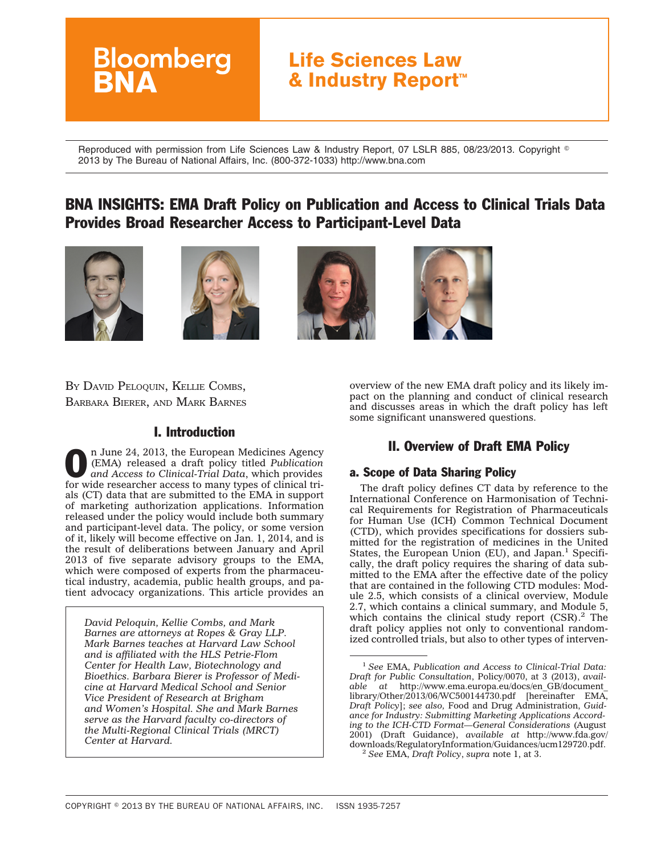# **Life Sciences Law & Industry Report™**

Reproduced with permission from Life Sciences Law & Industry Report, 07 LSLR 885, 08/23/2013. Copyright  $^\circ$ 2013 by The Bureau of National Affairs, Inc. (800-372-1033) http://www.bna.com

# BNA INSIGHTS: EMA Draft Policy on Publication and Access to Clinical Trials Data Provides Broad Researcher Access to Participant-Level Data









BY DAVID PELOQUIN, KELLIE COMBS, BARBARA BIERER, AND MARK BARNES

**Bloomberg** 

### I. Introduction

n June 24, 2013, the European Medicines Agency<br>(EMA) released a draft policy titled Publication<br>and Access to Clinical-Trial Data, which provides (EMA) released a draft policy titled *Publication and Access to Clinical-Trial Data*, which provides for wide researcher access to many types of clinical trials (CT) data that are submitted to the EMA in support of marketing authorization applications. Information released under the policy would include both summary and participant-level data. The policy, or some version of it, likely will become effective on Jan. 1, 2014, and is the result of deliberations between January and April 2013 of five separate advisory groups to the EMA, which were composed of experts from the pharmaceutical industry, academia, public health groups, and patient advocacy organizations. This article provides an

*David Peloquin, Kellie Combs, and Mark Barnes are attorneys at Ropes & Gray LLP. Mark Barnes teaches at Harvard Law School and is affiliated with the HLS Petrie-Flom Center for Health Law, Biotechnology and Bioethics. Barbara Bierer is Professor of Medicine at Harvard Medical School and Senior Vice President of Research at Brigham and Women's Hospital. She and Mark Barnes serve as the Harvard faculty co-directors of the Multi-Regional Clinical Trials (MRCT) Center at Harvard.*

overview of the new EMA draft policy and its likely impact on the planning and conduct of clinical research and discusses areas in which the draft policy has left some significant unanswered questions.

## II. Overview of Draft EMA Policy

#### a. Scope of Data Sharing Policy

The draft policy defines CT data by reference to the International Conference on Harmonisation of Technical Requirements for Registration of Pharmaceuticals for Human Use (ICH) Common Technical Document (CTD), which provides specifications for dossiers submitted for the registration of medicines in the United States, the European Union (EU), and Japan.<sup>1</sup> Specifically, the draft policy requires the sharing of data submitted to the EMA after the effective date of the policy that are contained in the following CTD modules: Module 2.5, which consists of a clinical overview, Module 2.7, which contains a clinical summary, and Module 5, which contains the clinical study report  $(CSR)$ .<sup>2</sup> The draft policy applies not only to conventional randomized controlled trials, but also to other types of interven-

<sup>1</sup> *See* EMA, *Publication and Access to Clinical-Trial Data: Draft for Public Consultation*, Policy/0070, at 3 (2013), *available at* [http://www.ema.europa.eu/docs/en\\_GB/document\\_](http://www.ema.europa.eu/docs/en_GB/document_library/Other/2013/06/WC500144730.pdf) [library/Other/2013/06/WC500144730.pdf](http://www.ema.europa.eu/docs/en_GB/document_library/Other/2013/06/WC500144730.pdf) [hereinafter EMA, *Draft Policy*]; *see also,* Food and Drug Administration, *Guidance for Industry: Submitting Marketing Applications According to the ICH-CTD Format—General Considerations* (August 2001) (Draft Guidance), *available at* [http://www.fda.gov/](http://www.fda.gov/downloads/RegulatoryInformation/Guidances/ucm129720.pdf) [downloads/RegulatoryInformation/Guidances/ucm129720.pdf.](http://www.fda.gov/downloads/RegulatoryInformation/Guidances/ucm129720.pdf) <sup>2</sup> *See* EMA, *Draft Policy*, *supra* note 1, at 3.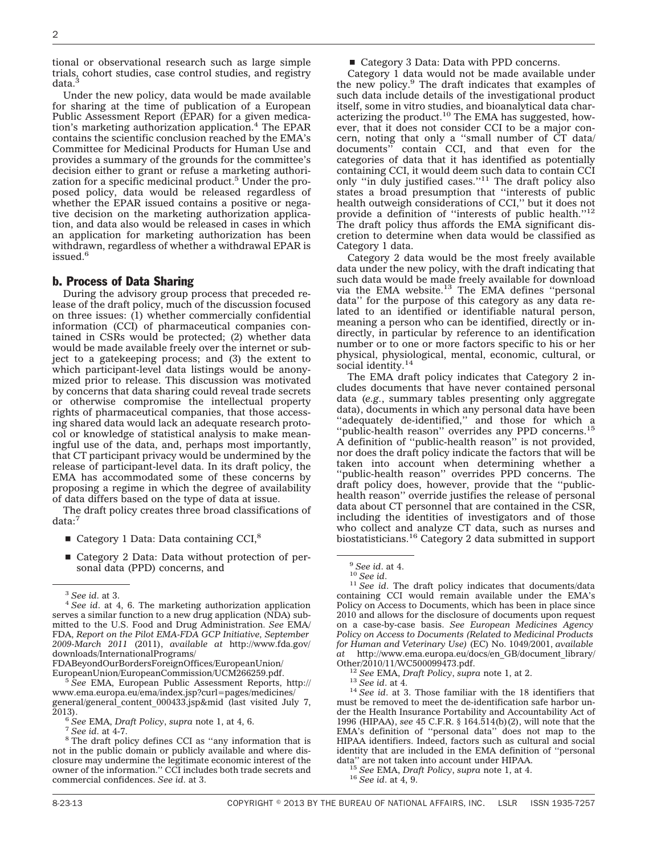tional or observational research such as large simple trials, cohort studies, case control studies, and registry data.<sup>3</sup>

Under the new policy, data would be made available for sharing at the time of publication of a European Public Assessment Report (EPAR) for a given medication's marketing authorization application.4 The EPAR contains the scientific conclusion reached by the EMA's Committee for Medicinal Products for Human Use and provides a summary of the grounds for the committee's decision either to grant or refuse a marketing authorization for a specific medicinal product.<sup>5</sup> Under the proposed policy, data would be released regardless of whether the EPAR issued contains a positive or negative decision on the marketing authorization application, and data also would be released in cases in which an application for marketing authorization has been withdrawn, regardless of whether a withdrawal EPAR is issued.<sup>6</sup>

#### b. Process of Data Sharing

During the advisory group process that preceded release of the draft policy, much of the discussion focused on three issues: (1) whether commercially confidential information (CCI) of pharmaceutical companies contained in CSRs would be protected; (2) whether data would be made available freely over the internet or subject to a gatekeeping process; and (3) the extent to which participant-level data listings would be anonymized prior to release. This discussion was motivated by concerns that data sharing could reveal trade secrets or otherwise compromise the intellectual property rights of pharmaceutical companies, that those accessing shared data would lack an adequate research protocol or knowledge of statistical analysis to make meaningful use of the data, and, perhaps most importantly, that CT participant privacy would be undermined by the release of participant-level data. In its draft policy, the EMA has accommodated some of these concerns by proposing a regime in which the degree of availability of data differs based on the type of data at issue.

The draft policy creates three broad classifications of data:<sup>7</sup>

- $\blacksquare$  Category 1 Data: Data containing CCI,<sup>8</sup>
- Category 2 Data: Data without protection of personal data (PPD) concerns, and

[FDABeyondOurBordersForeignOffices/EuropeanUnion/](http://www.fda.gov/downloads/InternationalPrograms/FDABeyondOurBordersForeignOffices/EuropeanUnion/EuropeanUnion/EuropeanCommission/UCM266259.pdf)

<sup>5</sup> See EMA, European Public Assessment Reports, [http://](http://www.ema.europa.eu/ema/index.jsp?curl=pages/medicines/general/general_content_000433.jsp&mid) [www.ema.europa.eu/ema/index.jsp?curl=pages/medicines/](http://www.ema.europa.eu/ema/index.jsp?curl=pages/medicines/general/general_content_000433.jsp&mid) [general/general\\_content\\_000433.jsp&mid](http://www.ema.europa.eu/ema/index.jsp?curl=pages/medicines/general/general_content_000433.jsp&mid) (last visited July 7,

<sup>6</sup> See EMA, *Draft Policy*, *supra* note 1, at 4, 6.<br>
<sup>7</sup> See id. at 4-7.<br>
<sup>8</sup> The draft policy defines CCI as "any information that is not in the public domain or publicly available and where disclosure may undermine the legitimate economic interest of the owner of the information.'' CCI includes both trade secrets and commercial confidences. *See id*. at 3.

■ Category 3 Data: Data with PPD concerns.

Category 1 data would not be made available under the new policy.9 The draft indicates that examples of such data include details of the investigational product itself, some in vitro studies, and bioanalytical data characterizing the product. $10$  The EMA has suggested, however, that it does not consider CCI to be a major concern, noting that only a "small number of  $\overline{CT}$  data/<br>documents" contain CCI, and that even for the contain CCI, and that even for the categories of data that it has identified as potentially containing CCI, it would deem such data to contain CCI only ''in duly justified cases.''11 The draft policy also states a broad presumption that ''interests of public health outweigh considerations of CCI,'' but it does not provide a definition of ''interests of public health.''12 The draft policy thus affords the EMA significant discretion to determine when data would be classified as Category 1 data.

Category 2 data would be the most freely available data under the new policy, with the draft indicating that such data would be made freely available for download via the EMA website. $13$  The EMA defines "personal data'' for the purpose of this category as any data related to an identified or identifiable natural person, meaning a person who can be identified, directly or indirectly, in particular by reference to an identification number or to one or more factors specific to his or her physical, physiological, mental, economic, cultural, or social identity.<sup>14</sup>

The EMA draft policy indicates that Category 2 includes documents that have never contained personal data (*e.g.*, summary tables presenting only aggregate data), documents in which any personal data have been "adequately de-identified," and those for which a "public-health reason" overrides any PPD concerns.<sup>15</sup> A definition of ''public-health reason'' is not provided, nor does the draft policy indicate the factors that will be taken into account when determining whether a "public-health reason" overrides PPD concerns. The draft policy does, however, provide that the ''publichealth reason'' override justifies the release of personal data about CT personnel that are contained in the CSR, including the identities of investigators and of those who collect and analyze CT data, such as nurses and biostatisticians.16 Category 2 data submitted in support

<sup>12</sup> *See* EMA, *Draft Policy*, *supra* note 1, at 2. <sup>13</sup> *See id.* at 4. 14 *See id.* at 3. Those familiar with the 18 identifiers that must be removed to meet the de-identification safe harbor under the Health Insurance Portability and Accountability Act of 1996 (HIPAA), *see* 45 C.F.R. § 164.514(b)(2), will note that the EMA's definition of ''personal data'' does not map to the HIPAA identifiers. Indeed, factors such as cultural and social identity that are included in the EMA definition of ''personal

<sup>15</sup> See EMA, *Draft Policy*, *supra* note 1, at 4. <sup>16</sup> *See id.* at 4, 9.

<sup>3</sup> *See id*. at 3. <sup>4</sup> *See id*. at 4, 6. The marketing authorization application serves a similar function to a new drug application (NDA) submitted to the U.S. Food and Drug Administration. *See* EMA/ FDA, *Report on the Pilot EMA-FDA GCP Initiative, September 2009-March 2011* (2011), *available at* [http://www.fda.gov/](http://www.fda.gov/downloads/InternationalPrograms/FDABeyondOurBordersForeignOffices/EuropeanUnion/EuropeanUnion/EuropeanCommission/UCM266259.pdf) [downloads/InternationalPrograms/](http://www.fda.gov/downloads/InternationalPrograms/FDABeyondOurBordersForeignOffices/EuropeanUnion/EuropeanUnion/EuropeanCommission/UCM266259.pdf)

<sup>9</sup> *See id*. at 4. <sup>10</sup> *See id*. <sup>11</sup> *See id*. The draft policy indicates that documents/data containing CCI would remain available under the EMA's Policy on Access to Documents, which has been in place since 2010 and allows for the disclosure of documents upon request on a case-by-case basis. *See European Medicines Agency Policy on Access to Documents (Related to Medicinal Products for Human and Veterinary Use)* (EC) No. 1049/2001, *available at* [http://www.ema.europa.eu/docs/en\\_GB/document\\_library/](http://www.ema.europa.eu/docs/en_GB/document_library/Other/2010/11/WC500099473.pdf)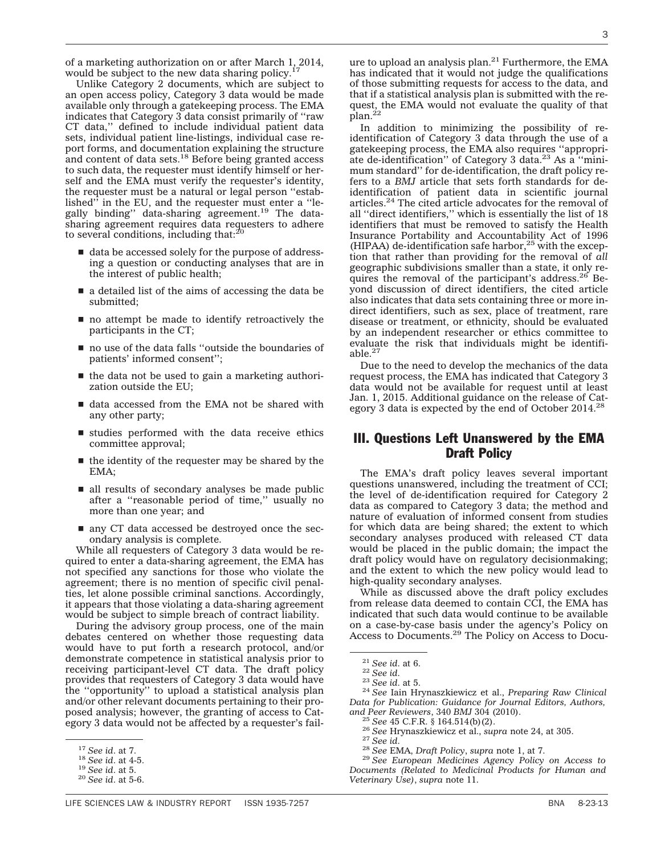of a marketing authorization on or after March 1, 2014, would be subject to the new data sharing policy.<sup>17</sup>

Unlike Category 2 documents, which are subject to an open access policy, Category 3 data would be made available only through a gatekeeping process. The EMA indicates that Category 3 data consist primarily of ''raw CT data,'' defined to include individual patient data sets, individual patient line-listings, individual case report forms, and documentation explaining the structure and content of data sets.<sup>18</sup> Before being granted access to such data, the requester must identify himself or herself and the EMA must verify the requester's identity, the requester must be a natural or legal person ''established'' in the EU, and the requester must enter a ''legally binding'' data-sharing agreement.19 The datasharing agreement requires data requesters to adhere<br>to several conditions, including that:<sup>20</sup>

- $\blacksquare$  data be accessed solely for the purpose of addressing a question or conducting analyses that are in the interest of public health;
- $\blacksquare$  a detailed list of the aims of accessing the data be submitted;
- $\blacksquare$  no attempt be made to identify retroactively the participants in the CT;
- $\blacksquare$  no use of the data falls "outside the boundaries of patients' informed consent'';
- $\blacksquare$  the data not be used to gain a marketing authorization outside the EU;
- $\blacksquare$  data accessed from the EMA not be shared with any other party;
- $\blacksquare$  studies performed with the data receive ethics committee approval;
- $\blacksquare$  the identity of the requester may be shared by the EMA;
- $\blacksquare$  all results of secondary analyses be made public after a ''reasonable period of time,'' usually no more than one year; and
- $\blacksquare$  any CT data accessed be destroyed once the secondary analysis is complete.

While all requesters of Category 3 data would be required to enter a data-sharing agreement, the EMA has not specified any sanctions for those who violate the agreement; there is no mention of specific civil penalties, let alone possible criminal sanctions. Accordingly, it appears that those violating a data-sharing agreement would be subject to simple breach of contract liability.

During the advisory group process, one of the main debates centered on whether those requesting data would have to put forth a research protocol, and/or demonstrate competence in statistical analysis prior to receiving participant-level CT data. The draft policy provides that requesters of Category 3 data would have the ''opportunity'' to upload a statistical analysis plan and/or other relevant documents pertaining to their proposed analysis; however, the granting of access to Category 3 data would not be affected by a requester's fail-

ure to upload an analysis plan.<sup>21</sup> Furthermore, the EMA has indicated that it would not judge the qualifications of those submitting requests for access to the data, and that if a statistical analysis plan is submitted with the request, the EMA would not evaluate the quality of that plan.<sup>2</sup>

In addition to minimizing the possibility of reidentification of Category 3 data through the use of a gatekeeping process, the EMA also requires ''appropriate de-identification" of Category 3 data.<sup>23</sup> As a "minimum standard'' for de-identification, the draft policy refers to a *BMJ* article that sets forth standards for deidentification of patient data in scientific journal articles.24 The cited article advocates for the removal of all ''direct identifiers,'' which is essentially the list of 18 identifiers that must be removed to satisfy the Health Insurance Portability and Accountability Act of 1996 (HIPAA) de-identification safe harbor, $25$  with the exception that rather than providing for the removal of *all* geographic subdivisions smaller than a state, it only requires the removal of the participant's address. $26$ <sup>6</sup> Beyond discussion of direct identifiers, the cited article also indicates that data sets containing three or more indirect identifiers, such as sex, place of treatment, rare disease or treatment, or ethnicity, should be evaluated by an independent researcher or ethics committee to evaluate the risk that individuals might be identifiable.<sup>27</sup>

Due to the need to develop the mechanics of the data request process, the EMA has indicated that Category 3 data would not be available for request until at least Jan. 1, 2015. Additional guidance on the release of Category 3 data is expected by the end of October 2014.<sup>28</sup>

#### III. Questions Left Unanswered by the EMA Draft Policy

The EMA's draft policy leaves several important questions unanswered, including the treatment of CCI; the level of de-identification required for Category 2 data as compared to Category 3 data; the method and nature of evaluation of informed consent from studies for which data are being shared; the extent to which secondary analyses produced with released CT data would be placed in the public domain; the impact the draft policy would have on regulatory decisionmaking; and the extent to which the new policy would lead to high-quality secondary analyses.

While as discussed above the draft policy excludes from release data deemed to contain CCI, the EMA has indicated that such data would continue to be available on a case-by-case basis under the agency's Policy on Access to Documents.29 The Policy on Access to Docu-

<sup>21</sup> *See id*. at 6. <sup>22</sup> *See id*. <sup>23</sup> *See id*. at 5. <sup>24</sup> *See* Iain Hrynaszkiewicz et al., *Preparing Raw Clinical Data for Publication: Guidance for Journal Editors, Authors,*

*Documents (Related to Medicinal Products for Human and Veterinary Use)*, *supra* note 11.

<sup>17</sup> *See id*. at 7. <sup>18</sup> *See id*. at 4-5. <sup>19</sup> *See id*. at 5. <sup>20</sup> *See id*. at 5-6.

<sup>&</sup>lt;sup>25</sup> See 45 C.F.R. § 164.514(b)(2).<br><sup>26</sup> See Hrynaszkiewicz et al., *supra* note 24, at 305.<br><sup>27</sup> See id.<br><sup>28</sup> See EMA, *Draft Policy*, *supra* note 1, at 7.<br><sup>29</sup> See European Medicines Agency Policy on Access to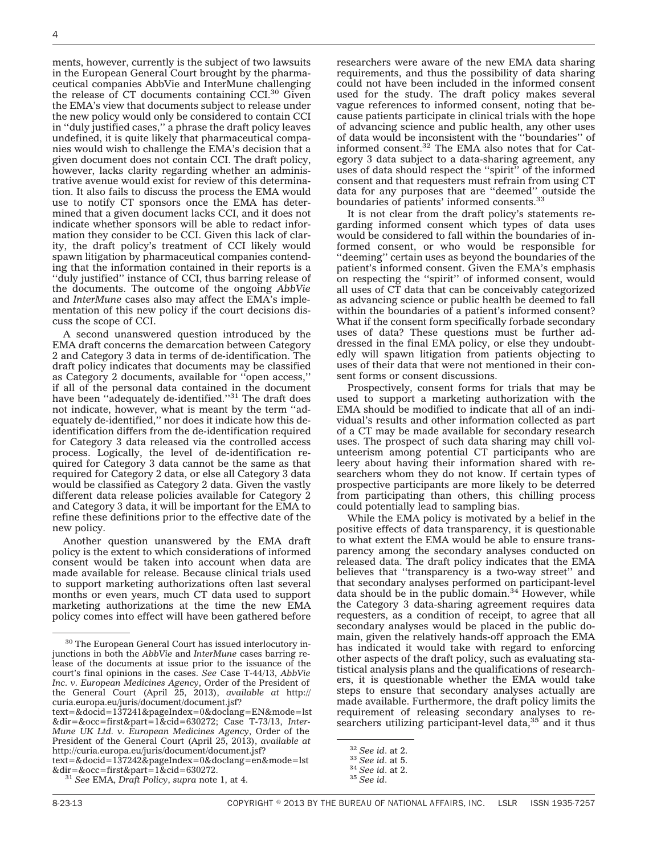ments, however, currently is the subject of two lawsuits in the European General Court brought by the pharmaceutical companies AbbVie and InterMune challenging the release of CT documents containing CCI.<sup>30</sup> Given the EMA's view that documents subject to release under the new policy would only be considered to contain CCI in ''duly justified cases,'' a phrase the draft policy leaves undefined, it is quite likely that pharmaceutical companies would wish to challenge the EMA's decision that a given document does not contain CCI. The draft policy, however, lacks clarity regarding whether an administrative avenue would exist for review of this determination. It also fails to discuss the process the EMA would use to notify CT sponsors once the EMA has determined that a given document lacks CCI, and it does not indicate whether sponsors will be able to redact information they consider to be CCI. Given this lack of clarity, the draft policy's treatment of CCI likely would spawn litigation by pharmaceutical companies contending that the information contained in their reports is a ''duly justified'' instance of CCI, thus barring release of the documents. The outcome of the ongoing *AbbVie* and *InterMune* cases also may affect the EMA's implementation of this new policy if the court decisions discuss the scope of CCI.

A second unanswered question introduced by the EMA draft concerns the demarcation between Category 2 and Category 3 data in terms of de-identification. The draft policy indicates that documents may be classified as Category 2 documents, available for ''open access,'' if all of the personal data contained in the document<br>have been ''adequately de-identified.''<sup>31</sup> The draft does not indicate, however, what is meant by the term ''adequately de-identified,'' nor does it indicate how this deidentification differs from the de-identification required for Category 3 data released via the controlled access process. Logically, the level of de-identification required for Category 3 data cannot be the same as that required for Category 2 data, or else all Category 3 data would be classified as Category 2 data. Given the vastly different data release policies available for Category 2 and Category 3 data, it will be important for the EMA to refine these definitions prior to the effective date of the new policy.

Another question unanswered by the EMA draft policy is the extent to which considerations of informed consent would be taken into account when data are made available for release. Because clinical trials used to support marketing authorizations often last several months or even years, much CT data used to support marketing authorizations at the time the new EMA policy comes into effect will have been gathered before

[&dir=&occ=first&part=1&cid=630272.](http://curia.europa.eu/juris/document/document.jsf?text=&docid=137242&pageIndex=0&doclang=en&mode=lst&dir=&occ=first&part=1&cid=630272) <sup>31</sup> *See* EMA, *Draft Policy*, *supra* note 1, at 4.

researchers were aware of the new EMA data sharing requirements, and thus the possibility of data sharing could not have been included in the informed consent used for the study. The draft policy makes several vague references to informed consent, noting that because patients participate in clinical trials with the hope of advancing science and public health, any other uses of data would be inconsistent with the ''boundaries'' of informed consent.32 The EMA also notes that for Category 3 data subject to a data-sharing agreement, any uses of data should respect the ''spirit'' of the informed consent and that requesters must refrain from using CT data for any purposes that are ''deemed'' outside the boundaries of patients' informed consents.<sup>33</sup>

It is not clear from the draft policy's statements regarding informed consent which types of data uses would be considered to fall within the boundaries of informed consent, or who would be responsible for ''deeming'' certain uses as beyond the boundaries of the patient's informed consent. Given the EMA's emphasis on respecting the ''spirit'' of informed consent, would all uses of CT data that can be conceivably categorized as advancing science or public health be deemed to fall within the boundaries of a patient's informed consent? What if the consent form specifically forbade secondary uses of data? These questions must be further addressed in the final EMA policy, or else they undoubtedly will spawn litigation from patients objecting to uses of their data that were not mentioned in their consent forms or consent discussions.

Prospectively, consent forms for trials that may be used to support a marketing authorization with the EMA should be modified to indicate that all of an individual's results and other information collected as part of a CT may be made available for secondary research uses. The prospect of such data sharing may chill volunteerism among potential CT participants who are leery about having their information shared with researchers whom they do not know. If certain types of prospective participants are more likely to be deterred from participating than others, this chilling process could potentially lead to sampling bias.

While the EMA policy is motivated by a belief in the positive effects of data transparency, it is questionable to what extent the EMA would be able to ensure transparency among the secondary analyses conducted on released data. The draft policy indicates that the EMA believes that ''transparency is a two-way street'' and that secondary analyses performed on participant-level data should be in the public domain.<sup>34</sup> However, while the Category 3 data-sharing agreement requires data requesters, as a condition of receipt, to agree that all secondary analyses would be placed in the public domain, given the relatively hands-off approach the EMA has indicated it would take with regard to enforcing other aspects of the draft policy, such as evaluating statistical analysis plans and the qualifications of researchers, it is questionable whether the EMA would take steps to ensure that secondary analyses actually are made available. Furthermore, the draft policy limits the requirement of releasing secondary analyses to researchers utilizing participant-level data,<sup>35</sup> and it thus

<sup>30</sup> The European General Court has issued interlocutory injunctions in both the *AbbVie* and *InterMune* cases barring release of the documents at issue prior to the issuance of the court's final opinions in the cases. *See* Case T-44/13, *AbbVie Inc. v. European Medicines Agency*, Order of the President of the General Court (April 25, 2013), *available at* [http://](http://curia.europa.eu/juris/document/document.jsf?text=&docid=137241&pageIndex=0&doclang=EN&mode=lst&dir=&occ=first&part=1&cid=630272) [curia.europa.eu/juris/document/document.jsf?](http://curia.europa.eu/juris/document/document.jsf?text=&docid=137241&pageIndex=0&doclang=EN&mode=lst&dir=&occ=first&part=1&cid=630272)

[text=&docid=137241&pageIndex=0&doclang=EN&mode=lst](http://curia.europa.eu/juris/document/document.jsf?text=&docid=137241&pageIndex=0&doclang=EN&mode=lst&dir=&occ=first&part=1&cid=630272) [&dir=&occ=first&part=1&cid=630272;](http://curia.europa.eu/juris/document/document.jsf?text=&docid=137241&pageIndex=0&doclang=EN&mode=lst&dir=&occ=first&part=1&cid=630272) Case T-73/13, *Inter-Mune UK Ltd. v. European Medicines Agency*, Order of the President of the General Court (April 25, 2013), *available at* [http://curia.europa.eu/juris/document/document.jsf?](http://curia.europa.eu/juris/document/document.jsf?text=&docid=137242&pageIndex=0&doclang=en&mode=lst&dir=&occ=first&part=1&cid=630272) [text=&docid=137242&pageIndex=0&doclang=en&mode=lst](http://curia.europa.eu/juris/document/document.jsf?text=&docid=137242&pageIndex=0&doclang=en&mode=lst&dir=&occ=first&part=1&cid=630272)

<sup>32</sup> *See id*. at 2. <sup>33</sup> *See id*. at 5. <sup>34</sup> *See id*. at 2. <sup>35</sup> *See id*.